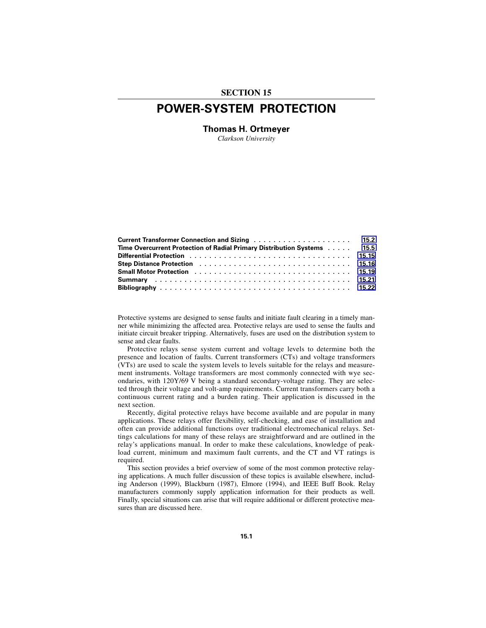# **SECTION 15**

# **POWER-SYSTEM PROTECTION**

**Thomas H. Ortmeyer**

*Clarkson University*

| Time Overcurrent Protection of Radial Primary Distribution Systems 15.5                                        |  |
|----------------------------------------------------------------------------------------------------------------|--|
|                                                                                                                |  |
| Step Distance Protection (assertion) contained a series and series and series of the Distance Protection (3.16 |  |
| Small Motor Protection et al., et al., et al., et al., et al., et al., et al., et al., 15.19                   |  |
|                                                                                                                |  |
|                                                                                                                |  |

Protective systems are designed to sense faults and initiate fault clearing in a timely manner while minimizing the affected area. Protective relays are used to sense the faults and initiate circuit breaker tripping. Alternatively, fuses are used on the distribution system to sense and clear faults.

Protective relays sense system current and voltage levels to determine both the presence and location of faults. Current transformers (CTs) and voltage transformers (VTs) are used to scale the system levels to levels suitable for the relays and measurement instruments. Voltage transformers are most commonly connected with wye secondaries, with 120Y/69 V being a standard secondary-voltage rating. They are selected through their voltage and volt-amp requirements. Current transformers carry both a continuous current rating and a burden rating. Their application is discussed in the next section.

Recently, digital protective relays have become available and are popular in many applications. These relays offer flexibility, self-checking, and ease of installation and often can provide additional functions over traditional electromechanical relays. Settings calculations for many of these relays are straightforward and are outlined in the relay's applications manual. In order to make these calculations, knowledge of peakload current, minimum and maximum fault currents, and the CT and VT ratings is required.

This section provides a brief overview of some of the most common protective relaying applications. A much fuller discussion of these topics is available elsewhere, including Anderson (1999), Blackburn (1987), Elmore (1994), and IEEE Buff Book. Relay manufacturers commonly supply application information for their products as well. Finally, special situations can arise that will require additional or different protective measures than are discussed here.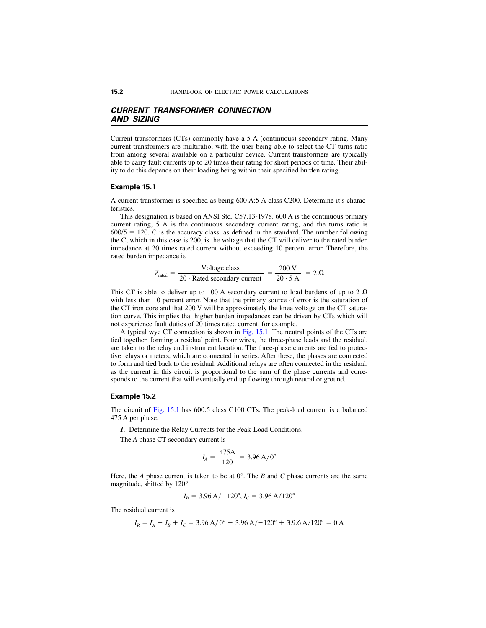# <span id="page-1-0"></span>*CURRENT TRANSFORMER CONNECTION AND SIZING*

Current transformers (CTs) commonly have a 5 A (continuous) secondary rating. Many current transformers are multiratio, with the user being able to select the CT turns ratio from among several available on a particular device. Current transformers are typically able to carry fault currents up to 20 times their rating for short periods of time. Their ability to do this depends on their loading being within their specified burden rating.

#### **Example 15.1**

A current transformer is specified as being 600 A:5 A class C200. Determine it's characteristics.

This designation is based on ANSI Std. C57.13-1978. 600 A is the continuous primary current rating, 5 A is the continuous secondary current rating, and the turns ratio is  $600/5 = 120$ . C is the accuracy class, as defined in the standard. The number following the C, which in this case is 200, is the voltage that the CT will deliver to the rated burden impedance at 20 times rated current without exceeding 10 percent error. Therefore, the rated burden impedance is

$$
Z_{\text{rated}} = \frac{\text{Voltage class}}{20 \cdot \text{Rated secondary current}} = \frac{200 \text{ V}}{20 \cdot 5 \text{ A}} = 2 \text{ }\Omega
$$

This CT is able to deliver up to 100 A secondary current to load burdens of up to 2  $\Omega$ with less than 10 percent error. Note that the primary source of error is the saturation of the CT iron core and that 200 V will be approximately the knee voltage on the CT saturation curve. This implies that higher burden impedances can be driven by CTs which will not experience fault duties of 20 times rated current, for example.

A typical wye CT connection is shown in [Fig. 15.1.](#page-2-0) The neutral points of the CTs are tied together, forming a residual point. Four wires, the three-phase leads and the residual, are taken to the relay and instrument location. The three-phase currents are fed to protective relays or meters, which are connected in series. After these, the phases are connected to form and tied back to the residual. Additional relays are often connected in the residual, as the current in this circuit is proportional to the sum of the phase currents and corresponds to the current that will eventually end up flowing through neutral or ground.

#### **Example 15.2**

The circuit of [Fig. 15.1 h](#page-2-0)as 600:5 class C100 CTs. The peak-load current is a balanced 475 A per phase.

*1.* Determine the Relay Currents for the Peak-Load Conditions.

The *A* phase CT secondary current is

$$
I_A = \frac{475 \text{A}}{120} = 3.96 \text{ A} / 0^{\circ}
$$

Here, the *A* phase current is taken to be at  $0^{\circ}$ . The *B* and *C* phase currents are the same magnitude, shifted by 120°,

$$
I_B = 3.96 \text{ A} / -120^\circ, I_C = 3.96 \text{ A} / 120^\circ
$$

The residual current is

$$
I_R = I_A + I_B + I_C = 3.96 \text{ A} / \text{O}^{\circ} + 3.96 \text{ A} / \text{120}^{\circ} + 3.9.6 \text{ A} / \text{120}^{\circ} = 0 \text{ A}
$$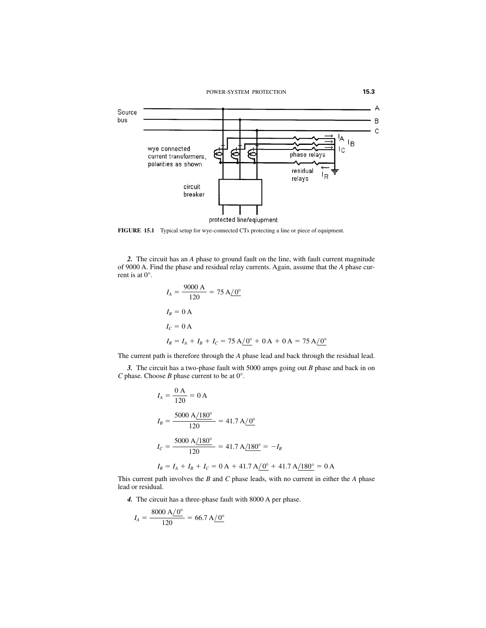<span id="page-2-0"></span>

**FIGURE 15.1** Typical setup for wye-connected CTs protecting a line or piece of equipment.

*2.* The circuit has an *A* phase to ground fault on the line, with fault current magnitude of 9000 A. Find the phase and residual relay currents. Again, assume that the *A* phase current is at 0°.

$$
I_A = \frac{9000 \text{ A}}{120} = 75 \text{ A} / 0^{\circ}
$$
  
\n
$$
I_B = 0 \text{ A}
$$
  
\n
$$
I_C = 0 \text{ A}
$$
  
\n
$$
I_R = I_A + I_B + I_C = 75 \text{ A} / 0^{\circ} + 0 \text{ A} + 0 \text{ A} = 75 \text{ A} / 0^{\circ}
$$

The current path is therefore through the *A* phase lead and back through the residual lead.

*3.* The circuit has a two-phase fault with 5000 amps going out *B* phase and back in on *C* phase. Choose *B* phase current to be at 0°.

$$
I_A = \frac{0 \text{ A}}{120} = 0 \text{ A}
$$
  
\n
$$
I_B = \frac{5000 \text{ A}/180^\circ}{120} = 41.7 \text{ A}/0^\circ
$$
  
\n
$$
I_C = \frac{5000 \text{ A}/180^\circ}{120} = 41.7 \text{ A}/180^\circ = -I_B
$$
  
\n
$$
I_R = I_A + I_B + I_C = 0 \text{ A} + 41.7 \text{ A}/0^\circ + 41.7 \text{ A}/180^\circ = 0 \text{ A}
$$

This current path involves the *B* and *C* phase leads, with no current in either the *A* phase lead or residual.

*4.* The circuit has a three-phase fault with 8000 A per phase.

$$
I_A = \frac{8000 \text{ A} / 0^{\circ}}{120} = 66.7 \text{ A} / 0^{\circ}
$$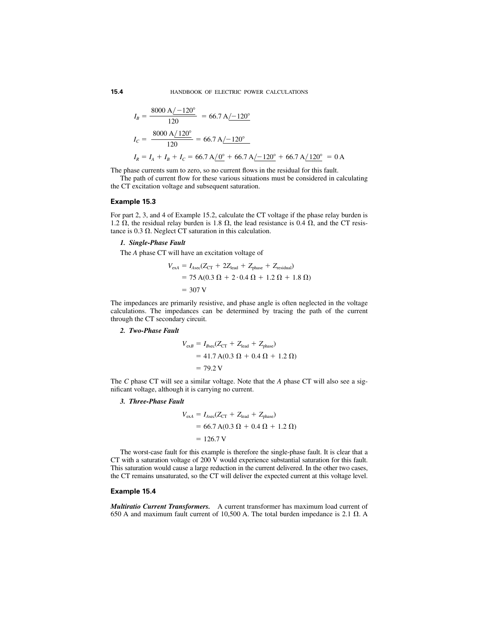$$
I_B = \frac{8000 \text{ A} / -120^{\circ}}{120} = 66.7 \text{ A} / -120^{\circ}
$$
  
\n
$$
I_C = \frac{8000 \text{ A} / 120^{\circ}}{120} = 66.7 \text{ A} / -120^{\circ}
$$
  
\n
$$
I_R = I_A + I_B + I_C = 66.7 \text{ A} / 0^{\circ} + 66.7 \text{ A} / -120^{\circ} + 66.7 \text{ A} / 120^{\circ} = 0 \text{ A}
$$

The phase currents sum to zero, so no current flows in the residual for this fault.

The path of current flow for these various situations must be considered in calculating the CT excitation voltage and subsequent saturation.

#### **Example 15.3**

For part 2, 3, and 4 of Example 15.2, calculate the CT voltage if the phase relay burden is 1.2  $\Omega$ , the residual relay burden is 1.8  $\Omega$ , the lead resistance is 0.4  $\Omega$ , and the CT resistance is 0.3  $\Omega$ . Neglect CT saturation in this calculation.

#### *1. Single-Phase Fault*

The *A* phase CT will have an excitation voltage of

$$
V_{\text{exA}} = I_{\text{Asc}}(Z_{\text{CT}} + 2Z_{\text{lead}} + Z_{\text{phase}} + Z_{\text{residual}})
$$
  
= 75 A(0.3 \Omega + 2 \cdot 0.4 \Omega + 1.2 \Omega + 1.8 \Omega)  
= 307 V

The impedances are primarily resistive, and phase angle is often neglected in the voltage calculations. The impedances can be determined by tracing the path of the current through the CT secondary circuit.

#### *2. Two-Phase Fault*

$$
V_{\text{ex}} = I_{\text{Bsec}}(Z_{\text{CT}} + Z_{\text{lead}} + Z_{\text{phase}})
$$
  
= 41.7 A(0.3 \Omega + 0.4 \Omega + 1.2 \Omega)  
= 79.2 V

The *C* phase CT will see a similar voltage. Note that the *A* phase CT will also see a significant voltage, although it is carrying no current.

#### *3. Three-Phase Fault*

$$
V_{\text{exA}} = I_{\text{Asec}}(Z_{\text{CT}} + Z_{\text{lead}} + Z_{\text{phase}})
$$
  
= 66.7 A(0.3 \Omega + 0.4 \Omega + 1.2 \Omega)  
= 126.7 V

The worst-case fault for this example is therefore the single-phase fault. It is clear that a CT with a saturation voltage of 200 V would experience substantial saturation for this fault. This saturation would cause a large reduction in the current delivered. In the other two cases, the CT remains unsaturated, so the CT will deliver the expected current at this voltage level.

#### **Example 15.4**

*Multiratio Current Transformers.* A current transformer has maximum load current of 650 A and maximum fault current of 10,500 A. The total burden impedance is 2.1  $\Omega$ . A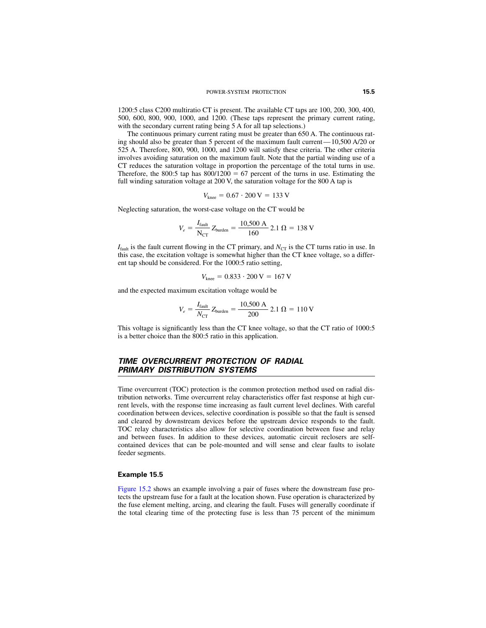<span id="page-4-0"></span>1200:5 class C200 multiratio CT is present. The available CT taps are 100, 200, 300, 400, 500, 600, 800, 900, 1000, and 1200. (These taps represent the primary current rating, with the secondary current rating being 5 A for all tap selections.)

The continuous primary current rating must be greater than 650 A. The continuous rating should also be greater than 5 percent of the maximum fault current—10,500 A/20 or 525 A. Therefore, 800, 900, 1000, and 1200 will satisfy these criteria. The other criteria involves avoiding saturation on the maximum fault. Note that the partial winding use of a CT reduces the saturation voltage in proportion the percentage of the total turns in use. Therefore, the 800:5 tap has  $800/1200 = 67$  percent of the turns in use. Estimating the full winding saturation voltage at 200 V, the saturation voltage for the 800 A tap is

$$
V_{\text{knee}} = 0.67 \cdot 200 \,\text{V} = 133 \,\text{V}
$$

Neglecting saturation, the worst-case voltage on the CT would be

$$
V_e = \frac{I_{\text{fault}}}{N_{\text{CT}}} Z_{\text{burden}} = \frac{10,500 \text{ A}}{160} 2.1 \ \Omega = 138 \text{ V}
$$

 $I_{\text{fault}}$  is the fault current flowing in the CT primary, and  $N_{\text{CT}}$  is the CT turns ratio in use. In this case, the excitation voltage is somewhat higher than the CT knee voltage, so a different tap should be considered. For the 1000:5 ratio setting,

$$
V_{\text{knee}} = 0.833 \cdot 200 \,\text{V} = 167 \,\text{V}
$$

and the expected maximum excitation voltage would be

$$
V_e = \frac{I_{\text{fault}}}{N_{\text{CT}}} Z_{\text{burden}} = \frac{10,500 \text{ A}}{200} 2.1 \ \Omega = 110 \text{ V}
$$

This voltage is significantly less than the CT knee voltage, so that the CT ratio of 1000:5 is a better choice than the 800:5 ratio in this application.

# *TIME OVERCURRENT PROTECTION OF RADIAL PRIMARY DISTRIBUTION SYSTEMS*

Time overcurrent (TOC) protection is the common protection method used on radial distribution networks. Time overcurrent relay characteristics offer fast response at high current levels, with the response time increasing as fault current level declines. With careful coordination between devices, selective coordination is possible so that the fault is sensed and cleared by downstream devices before the upstream device responds to the fault. TOC relay characteristics also allow for selective coordination between fuse and relay and between fuses. In addition to these devices, automatic circuit reclosers are selfcontained devices that can be pole-mounted and will sense and clear faults to isolate feeder segments.

#### **Example 15.5**

[Figure 15.2](#page-5-0) shows an example involving a pair of fuses where the downstream fuse protects the upstream fuse for a fault at the location shown. Fuse operation is characterized by the fuse element melting, arcing, and clearing the fault. Fuses will generally coordinate if the total clearing time of the protecting fuse is less than 75 percent of the minimum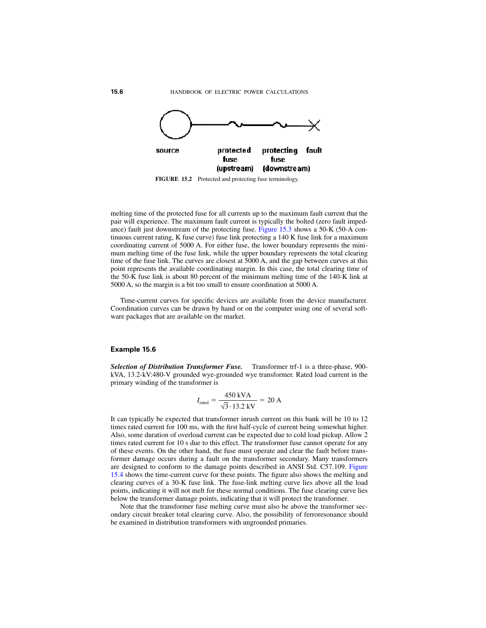<span id="page-5-0"></span>

**FIGURE 15.2** Protected and protecting fuse terminology.

melting time of the protected fuse for all currents up to the maximum fault current that the pair will experience. The maximum fault current is typically the bolted (zero fault impedance) fault just downstream of the protecting fuse. [Figure 15.3 s](#page-6-0)hows a 50-K (50-A continuous current rating, K fuse curve) fuse link protecting a 140 K fuse link for a maximum coordinating current of 5000 A. For either fuse, the lower boundary represents the minimum melting time of the fuse link, while the upper boundary represents the total clearing time of the fuse link. The curves are closest at 5000 A, and the gap between curves at this point represents the available coordinating margin. In this case, the total clearing time of the 50-K fuse link is about 80 percent of the minimum melting time of the 140-K link at 5000 A, so the margin is a bit too small to ensure coordination at 5000 A.

Time-current curves for specific devices are available from the device manufacturer. Coordination curves can be drawn by hand or on the computer using one of several software packages that are available on the market.

#### **Example 15.6**

*Selection of Distribution Transformer Fuse.* Transformer trf-1 is a three-phase, 900 kVA, 13.2-kV:480-V grounded wye-grounded wye transformer. Rated load current in the primary winding of the transformer is

$$
I_{\text{rated}} = \frac{450 \text{ kVA}}{\sqrt{3} \cdot 13.2 \text{ kV}} = 20 \text{ A}
$$

It can typically be expected that transformer inrush current on this bank will be 10 to 12 times rated current for 100 ms, with the first half-cycle of current being somewhat higher. Also, some duration of overload current can be expected due to cold load pickup. Allow 2 times rated current for 10 s due to this effect. The transformer fuse cannot operate for any of these events. On the other hand, the fuse must operate and clear the fault before transformer damage occurs during a fault on the transformer secondary. Many transformers are designed to conform to the damage points described in ANSI Std. C57.109[. Figure](#page-7-0) [15.4](#page-7-0) shows the time-current curve for these points. The figure also shows the melting and clearing curves of a 30-K fuse link. The fuse-link melting curve lies above all the load points, indicating it will not melt for these normal conditions. The fuse clearing curve lies below the transformer damage points, indicating that it will protect the transformer.

Note that the transformer fuse melting curve must also be above the transformer secondary circuit breaker total clearing curve. Also, the possibility of ferroresonance should be examined in distribution transformers with ungrounded primaries.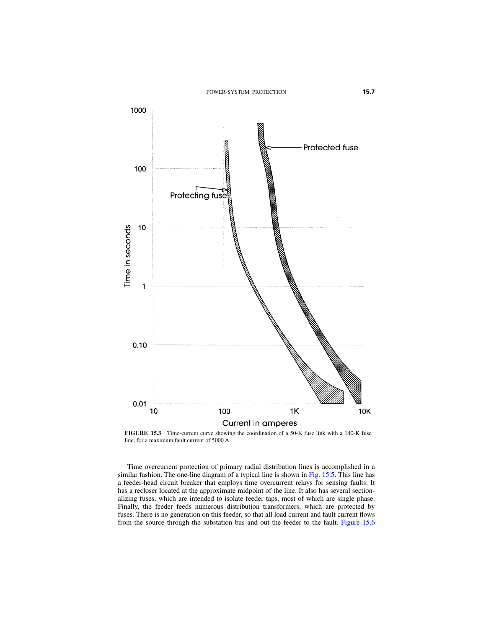

<span id="page-6-0"></span>**FIGURE 15.3** Time-current curve showing the coordination of a 50-K fuse link with a 140-K fuse line, for a maximum fault current of 5000 A.

Time overcurrent protection of primary radial distribution lines is accomplished in a similar fashion. The one-line diagram of a typical line is shown i[n Fig. 15.5.](#page-8-0) This line has a feeder-head circuit breaker that employs time overcurrent relays for sensing faults. It has a recloser located at the approximate midpoint of the line. It also has several sectionalizing fuses, which are intended to isolate feeder taps, most of which are single phase. Finally, the feeder feeds numerous distribution transformers, which are protected by fuses. There is no generation on this feeder, so that all load current and fault current flows from the source through the substation bus and out the feeder to the fault. [Figure 15.6](#page-9-0)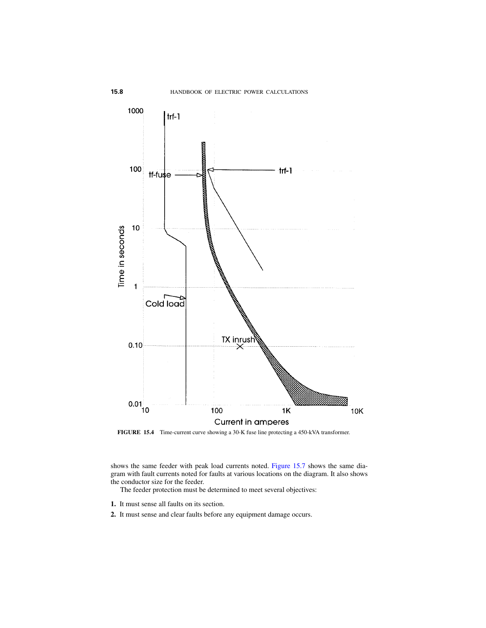

<span id="page-7-0"></span>**FIGURE 15.4** Time-current curve showing a 30-K fuse line protecting a 450-kVA transformer.

shows the same feeder with peak load currents noted. [Figure 15.7 s](#page-10-0)hows the same diagram with fault currents noted for faults at various locations on the diagram. It also shows the conductor size for the feeder.

The feeder protection must be determined to meet several objectives:

- **1.** It must sense all faults on its section.
- **2.** It must sense and clear faults before any equipment damage occurs.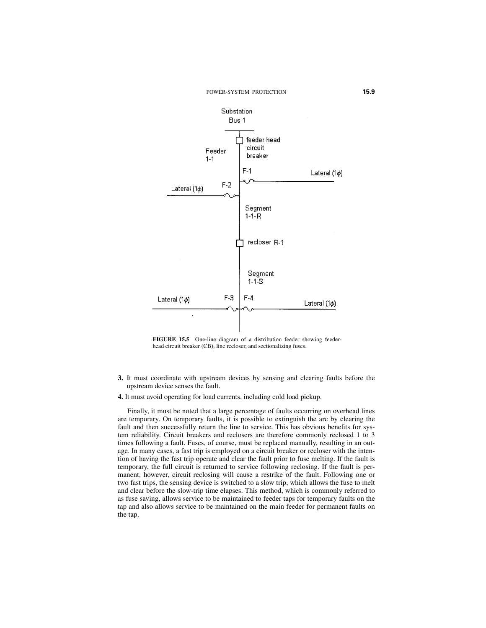<span id="page-8-0"></span>

**FIGURE 15.5** One-line diagram of a distribution feeder showing feederhead circuit breaker (CB), line recloser, and sectionalizing fuses.

- **3.** It must coordinate with upstream devices by sensing and clearing faults before the upstream device senses the fault.
- **4.** It must avoid operating for load currents, including cold load pickup.

Finally, it must be noted that a large percentage of faults occurring on overhead lines are temporary. On temporary faults, it is possible to extinguish the arc by clearing the fault and then successfully return the line to service. This has obvious benefits for system reliability. Circuit breakers and reclosers are therefore commonly reclosed 1 to 3 times following a fault. Fuses, of course, must be replaced manually, resulting in an outage. In many cases, a fast trip is employed on a circuit breaker or recloser with the intention of having the fast trip operate and clear the fault prior to fuse melting. If the fault is temporary, the full circuit is returned to service following reclosing. If the fault is permanent, however, circuit reclosing will cause a restrike of the fault. Following one or two fast trips, the sensing device is switched to a slow trip, which allows the fuse to melt and clear before the slow-trip time elapses. This method, which is commonly referred to as fuse saving, allows service to be maintained to feeder taps for temporary faults on the tap and also allows service to be maintained on the main feeder for permanent faults on the tap.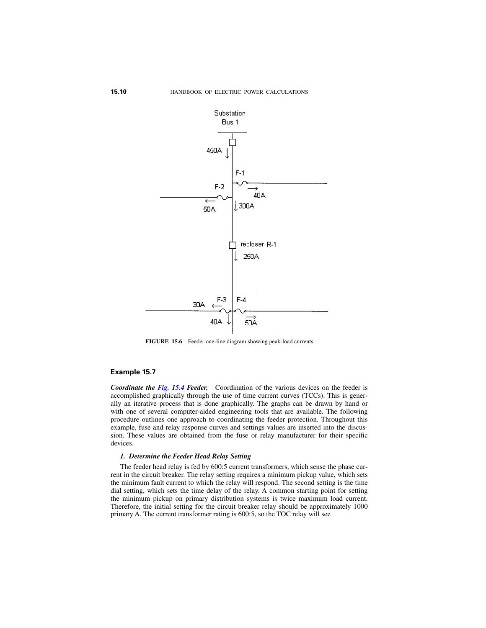<span id="page-9-0"></span>

**FIGURE 15.6** Feeder one-line diagram showing peak-load currents.

#### **Example 15.7**

*Coordinate the [Fig. 15.4](#page-7-0) Feeder.* Coordination of the various devices on the feeder is accomplished graphically through the use of time current curves (TCCs). This is generally an iterative process that is done graphically. The graphs can be drawn by hand or with one of several computer-aided engineering tools that are available. The following procedure outlines one approach to coordinating the feeder protection. Throughout this example, fuse and relay response curves and settings values are inserted into the discussion. These values are obtained from the fuse or relay manufacturer for their specific devices.

#### *1. Determine the Feeder Head Relay Setting*

The feeder head relay is fed by 600:5 current transformers, which sense the phase current in the circuit breaker. The relay setting requires a minimum pickup value, which sets the minimum fault current to which the relay will respond. The second setting is the time dial setting, which sets the time delay of the relay. A common starting point for setting the minimum pickup on primary distribution systems is twice maximum load current. Therefore, the initial setting for the circuit breaker relay should be approximately 1000 primary A. The current transformer rating is 600:5, so the TOC relay will see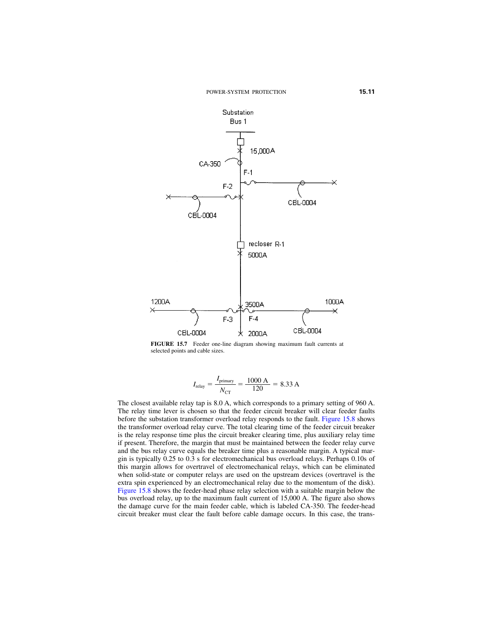<span id="page-10-0"></span>

**FIGURE 15.7** Feeder one-line diagram showing maximum fault currents at selected points and cable sizes.

$$
I_{\text{relay}} = \frac{I_{\text{primary}}}{N_{\text{CT}}} = \frac{1000 \text{ A}}{120} = 8.33 \text{ A}
$$

The closest available relay tap is 8.0 A, which corresponds to a primary setting of 960 A. The relay time lever is chosen so that the feeder circuit breaker will clear feeder faults before the substation transformer overload relay responds to the fault[. Figure 15.8 s](#page-11-0)hows the transformer overload relay curve. The total clearing time of the feeder circuit breaker is the relay response time plus the circuit breaker clearing time, plus auxiliary relay time if present. Therefore, the margin that must be maintained between the feeder relay curve and the bus relay curve equals the breaker time plus a reasonable margin. A typical margin is typically 0.25 to 0.3 s for electromechanical bus overload relays. Perhaps 0.10s of this margin allows for overtravel of electromechanical relays, which can be eliminated when solid-state or computer relays are used on the upstream devices (overtravel is the extra spin experienced by an electromechanical relay due to the momentum of the disk). [Figure 15.8](#page-11-0) shows the feeder-head phase relay selection with a suitable margin below the bus overload relay, up to the maximum fault current of 15,000 A. The figure also shows the damage curve for the main feeder cable, which is labeled CA-350. The feeder-head circuit breaker must clear the fault before cable damage occurs. In this case, the trans-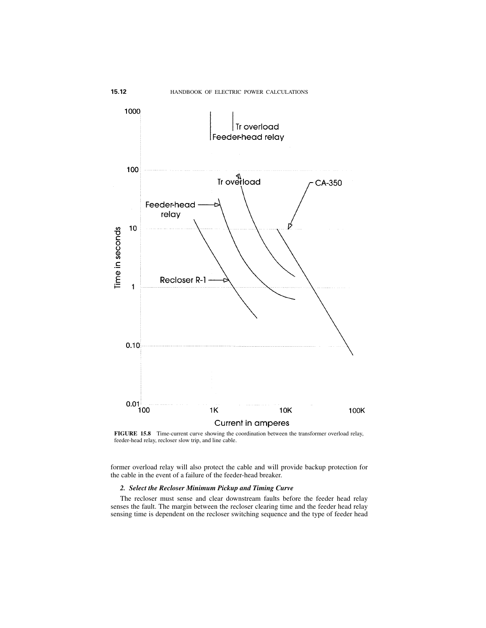

<span id="page-11-0"></span>**FIGURE 15.8** Time-current curve showing the coordination between the transformer overload relay, feeder-head relay, recloser slow trip, and line cable.

former overload relay will also protect the cable and will provide backup protection for the cable in the event of a failure of the feeder-head breaker.

#### *2. Select the Recloser Minimum Pickup and Timing Curve*

The recloser must sense and clear downstream faults before the feeder head relay senses the fault. The margin between the recloser clearing time and the feeder head relay sensing time is dependent on the recloser switching sequence and the type of feeder head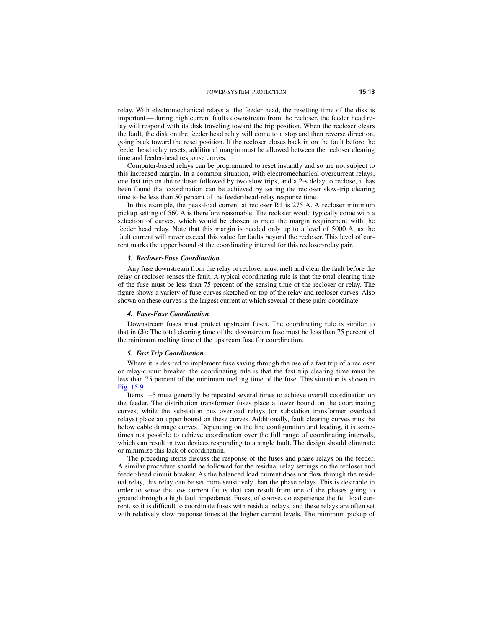relay. With electromechanical relays at the feeder head, the resetting time of the disk is important—during high current faults downstream from the recloser, the feeder head relay will respond with its disk traveling toward the trip position. When the recloser clears the fault, the disk on the feeder head relay will come to a stop and then reverse direction, going back toward the reset position. If the recloser closes back in on the fault before the feeder head relay resets, additional margin must be allowed between the recloser clearing time and feeder-head response curves.

Computer-based relays can be programmed to reset instantly and so are not subject to this increased margin. In a common situation, with electromechanical overcurrent relays, one fast trip on the recloser followed by two slow trips, and a 2-s delay to reclose, it has been found that coordination can be achieved by setting the recloser slow-trip clearing time to be less than 50 percent of the feeder-head-relay response time.

In this example, the peak-load current at recloser R1 is 275 A. A recloser minimum pickup setting of 560 A is therefore reasonable. The recloser would typically come with a selection of curves, which would be chosen to meet the margin requirement with the feeder head relay. Note that this margin is needed only up to a level of 5000 A, as the fault current will never exceed this value for faults beyond the recloser. This level of current marks the upper bound of the coordinating interval for this recloser-relay pair.

#### *3. Recloser-Fuse Coordination*

Any fuse downstream from the relay or recloser must melt and clear the fault before the relay or recloser senses the fault. A typical coordinating rule is that the total clearing time of the fuse must be less than 75 percent of the sensing time of the recloser or relay. The figure shows a variety of fuse curves sketched on top of the relay and recloser curves. Also shown on these curves is the largest current at which several of these pairs coordinate.

#### *4. Fuse-Fuse Coordination*

Downstream fuses must protect upstream fuses. The coordinating rule is similar to that in **(3):** The total clearing time of the downstream fuse must be less than 75 percent of the minimum melting time of the upstream fuse for coordination.

#### *5. Fast Trip Coordination*

Where it is desired to implement fuse saving through the use of a fast trip of a recloser or relay-circuit breaker, the coordinating rule is that the fast trip clearing time must be less than 75 percent of the minimum melting time of the fuse. This situation is shown in [Fig. 15.9.](#page-13-0)

Items 1–5 must generally be repeated several times to achieve overall coordination on the feeder. The distribution transformer fuses place a lower bound on the coordinating curves, while the substation bus overload relays (or substation transformer overload relays) place an upper bound on these curves. Additionally, fault clearing curves must be below cable damage curves. Depending on the line configuration and loading, it is sometimes not possible to achieve coordination over the full range of coordinating intervals, which can result in two devices responding to a single fault. The design should eliminate or minimize this lack of coordination.

The preceding items discuss the response of the fuses and phase relays on the feeder. A similar procedure should be followed for the residual relay settings on the recloser and feeder-head circuit breaker. As the balanced load current does not flow through the residual relay, this relay can be set more sensitively than the phase relays. This is desirable in order to sense the low current faults that can result from one of the phases going to ground through a high fault impedance. Fuses, of course, do experience the full load current, so it is difficult to coordinate fuses with residual relays, and these relays are often set with relatively slow response times at the higher current levels. The minimum pickup of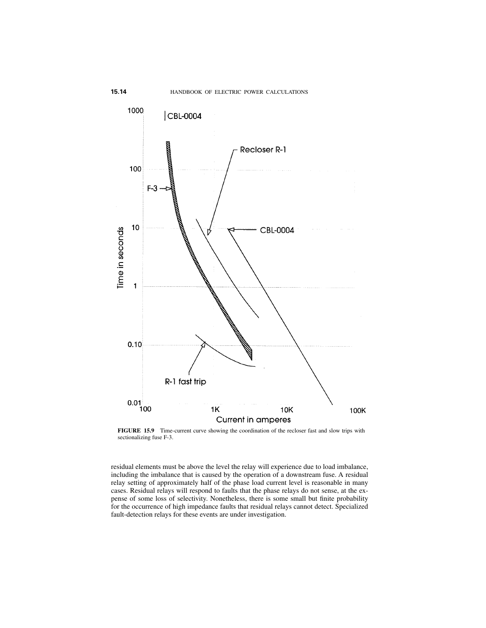

<span id="page-13-0"></span>**FIGURE 15.9** Time-current curve showing the coordination of the recloser fast and slow trips with sectionalizing fuse F-3.

residual elements must be above the level the relay will experience due to load imbalance, including the imbalance that is caused by the operation of a downstream fuse. A residual relay setting of approximately half of the phase load current level is reasonable in many cases. Residual relays will respond to faults that the phase relays do not sense, at the expense of some loss of selectivity. Nonetheless, there is some small but finite probability for the occurrence of high impedance faults that residual relays cannot detect. Specialized fault-detection relays for these events are under investigation.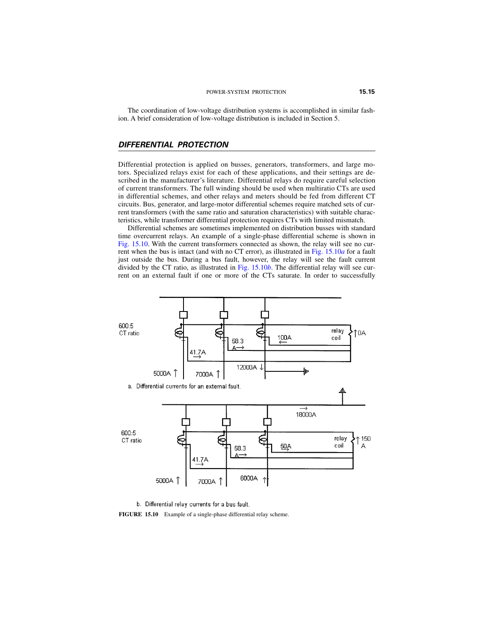<span id="page-14-0"></span>The coordination of low-voltage distribution systems is accomplished in similar fashion. A brief consideration of low-voltage distribution is included in Section 5.

## *DIFFERENTIAL PROTECTION*

Differential protection is applied on busses, generators, transformers, and large motors. Specialized relays exist for each of these applications, and their settings are described in the manufacturer's literature. Differential relays do require careful selection of current transformers. The full winding should be used when multiratio CTs are used in differential schemes, and other relays and meters should be fed from different CT circuits. Bus, generator, and large-motor differential schemes require matched sets of current transformers (with the same ratio and saturation characteristics) with suitable characteristics, while transformer differential protection requires CTs with limited mismatch.

Differential schemes are sometimes implemented on distribution busses with standard time overcurrent relays. An example of a single-phase differential scheme is shown in [Fig. 15.10.](#page-14-1) With the current transformers connected as shown, the relay will see no current when the bus is intact (and with no CT error), as illustrated in [Fig. 15.10](#page-14-1)*a* for a fault just outside the bus. During a bus fault, however, the relay will see the fault current divided by the CT ratio, as illustrated in [Fig. 15.10](#page-14-1)*b*. The differential relay will see current on an external fault if one or more of the CTs saturate. In order to successfully



b. Differential relay currents for a bus fault.

<span id="page-14-1"></span>**FIGURE 15.10** Example of a single-phase differential relay scheme.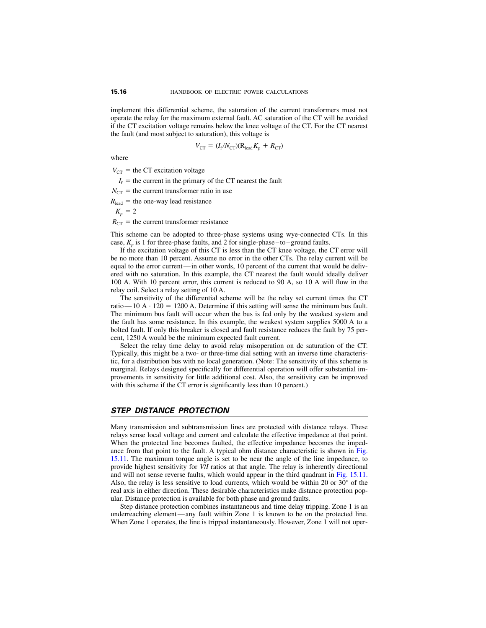<span id="page-15-0"></span>implement this differential scheme, the saturation of the current transformers must not operate the relay for the maximum external fault. AC saturation of the CT will be avoided if the CT excitation voltage remains below the knee voltage of the CT. For the CT nearest the fault (and most subject to saturation), this voltage is

$$
V_{\rm CT} = (I_{\rm f}/N_{\rm CT})(R_{\rm lead}K_p + R_{\rm CT})
$$

where

 $V_{\text{CT}}$  = the CT excitation voltage

 $I_f$  = the current in the primary of the CT nearest the fault

 $N_{\text{CT}}$  = the current transformer ratio in use

 $R_{\text{lead}} =$  the one-way lead resistance

$$
K_p=2
$$

 $R_{\text{CT}}$  = the current transformer resistance

This scheme can be adopted to three-phase systems using wye-connected CTs. In this case,  $K_p$  is 1 for three-phase faults, and 2 for single-phase–to–ground faults.

If the excitation voltage of this CT is less than the CT knee voltage, the CT error will be no more than 10 percent. Assume no error in the other CTs. The relay current will be equal to the error current—in other words, 10 percent of the current that would be delivered with no saturation. In this example, the CT nearest the fault would ideally deliver 100 A. With 10 percent error, this current is reduced to 90 A, so 10 A will flow in the relay coil. Select a relay setting of 10 A.

The sensitivity of the differential scheme will be the relay set current times the CT ratio—10 A  $\cdot$  120 = 1200 A. Determine if this setting will sense the minimum bus fault. The minimum bus fault will occur when the bus is fed only by the weakest system and the fault has some resistance. In this example, the weakest system supplies 5000 A to a bolted fault. If only this breaker is closed and fault resistance reduces the fault by 75 percent, 1250 A would be the minimum expected fault current.

Select the relay time delay to avoid relay misoperation on dc saturation of the CT. Typically, this might be a two- or three-time dial setting with an inverse time characteristic, for a distribution bus with no local generation. (Note: The sensitivity of this scheme is marginal. Relays designed specifically for differential operation will offer substantial improvements in sensitivity for little additional cost. Also, the sensitivity can be improved with this scheme if the CT error is significantly less than 10 percent.)

### *STEP DISTANCE PROTECTION*

Many transmission and subtransmission lines are protected with distance relays. These relays sense local voltage and current and calculate the effective impedance at that point. When the protected line becomes faulted, the effective impedance becomes the impedance from that point to the fault. A typical ohm distance characteristic is shown in [Fig.](#page-16-0) [15.11.](#page-16-1) The maximum torque angle is set to be near the angle of the line impedance, to provide highest sensitivity for *V*/*I* ratios at that angle. The relay is inherently directional and will not sense reverse faults, which would appear in the third quadrant in [Fig. 15.11.](#page-16-1) Also, the relay is less sensitive to load currents, which would be within 20 or  $30^{\circ}$  of the real axis in either direction. These desirable characteristics make distance protection popular. Distance protection is available for both phase and ground faults.

Step distance protection combines instantaneous and time delay tripping. Zone 1 is an underreaching element—any fault within Zone 1 is known to be on the protected line. When Zone 1 operates, the line is tripped instantaneously. However, Zone 1 will not oper-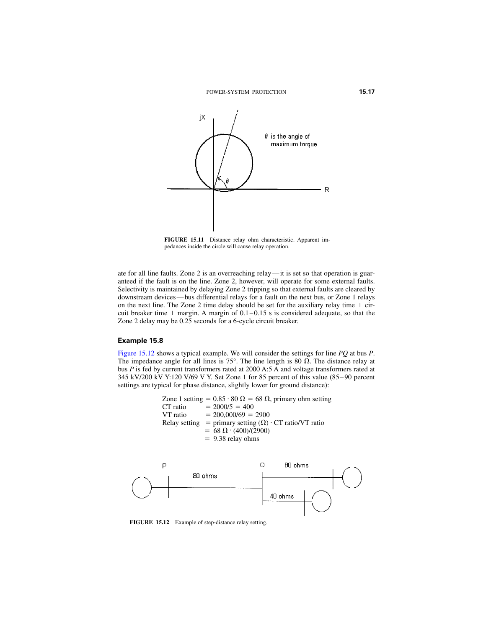<span id="page-16-1"></span>

**FIGURE 15.11** Distance relay ohm characteristic. Apparent impedances inside the circle will cause relay operation.

<span id="page-16-0"></span>ate for all line faults. Zone 2 is an overreaching relay—it is set so that operation is guaranteed if the fault is on the line. Zone 2, however, will operate for some external faults. Selectivity is maintained by delaying Zone 2 tripping so that external faults are cleared by downstream devices—bus differential relays for a fault on the next bus, or Zone 1 relays on the next line. The Zone 2 time delay should be set for the auxiliary relay time  $+$  circuit breaker time  $+$  margin. A margin of  $0.1-0.15$  s is considered adequate, so that the Zone 2 delay may be 0.25 seconds for a 6-cycle circuit breaker.

## **Example 15.8**

[Figure 15.12](#page-16-2) shows a typical example. We will consider the settings for line *PQ* at bus *P*. The impedance angle for all lines is 75°. The line length is 80  $\Omega$ . The distance relay at bus *P* is fed by current transformers rated at 2000 A:5 A and voltage transformers rated at 345 kV/200 kV Y:120 V/69 V Y. Set Zone 1 for 85 percent of this value (85–90 percent settings are typical for phase distance, slightly lower for ground distance):

> Zone 1 setting =  $0.85 \cdot 80 \Omega = 68 \Omega$ , primary ohm setting CT ratio  $= 2000/5 = 400$ VT ratio  $= 200,000/69 = 2900$ Relay setting = primary setting  $(\Omega) \cdot C T$  ratio/VT ratio  $= 68 \Omega \cdot (400)/(2900)$  $= 9.38$  relay ohms



<span id="page-16-2"></span>**FIGURE 15.12** Example of step-distance relay setting.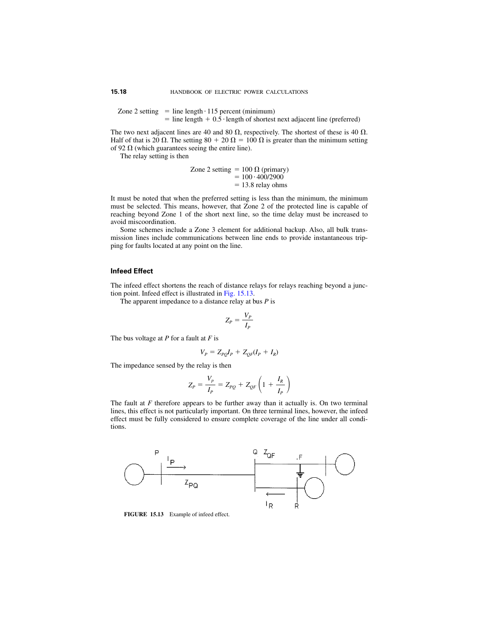Zone 2 setting  $=$  line length  $\cdot$  115 percent (minimum)  $=$  line length  $+$  0.5 · length of shortest next adjacent line (preferred)

The two next adjacent lines are 40 and 80  $\Omega$ , respectively. The shortest of these is 40  $\Omega$ . Half of that is 20  $\Omega$ . The setting 80 + 20  $\Omega$  = 100  $\Omega$  is greater than the minimum setting of 92  $\Omega$  (which guarantees seeing the entire line).

The relay setting is then

Zone 2 setting - 100 (primary) - 100 400/2900 -13.8 relay ohms

It must be noted that when the preferred setting is less than the minimum, the minimum must be selected. This means, however, that Zone 2 of the protected line is capable of reaching beyond Zone 1 of the short next line, so the time delay must be increased to avoid miscoordination.

Some schemes include a Zone 3 element for additional backup. Also, all bulk transmission lines include communications between line ends to provide instantaneous tripping for faults located at any point on the line.

### **Infeed Effect**

The infeed effect shortens the reach of distance relays for relays reaching beyond a junction point. Infeed effect is illustrated in [Fig. 15.13.](#page-17-0)

The apparent impedance to a distance relay at bus *P* is

$$
Z_P = \frac{V_P}{I_P}
$$

The bus voltage at *P* for a fault at *F* is

$$
V_P = Z_{PQ}I_P + Z_{QF}(I_P + I_R)
$$

The impedance sensed by the relay is then

$$
Z_P = \frac{V_p}{I_P} = Z_{PQ} + Z_{QF} \left( 1 + \frac{I_R}{I_P} \right)
$$

The fault at *F* therefore appears to be further away than it actually is. On two terminal lines, this effect is not particularly important. On three terminal lines, however, the infeed effect must be fully considered to ensure complete coverage of the line under all conditions.



<span id="page-17-0"></span>**FIGURE 15.13** Example of infeed effect.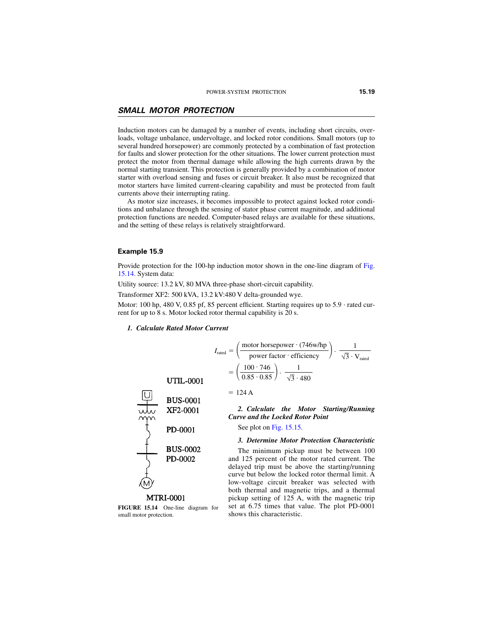# <span id="page-18-0"></span>*SMALL MOTOR PROTECTION*

Induction motors can be damaged by a number of events, including short circuits, overloads, voltage unbalance, undervoltage, and locked rotor conditions. Small motors (up to several hundred horsepower) are commonly protected by a combination of fast protection for faults and slower protection for the other situations. The lower current protection must protect the motor from thermal damage while allowing the high currents drawn by the normal starting transient. This protection is generally provided by a combination of motor starter with overload sensing and fuses or circuit breaker. It also must be recognized that motor starters have limited current-clearing capability and must be protected from fault currents above their interrupting rating.

As motor size increases, it becomes impossible to protect against locked rotor conditions and unbalance through the sensing of stator phase current magnitude, and additional protection functions are needed. Computer-based relays are available for these situations, and the setting of these relays is relatively straightforward.

#### **Example 15.9**

Provide protection for the 100-hp induction motor shown in the one-line diagram of [Fig.](#page-18-1) [15.14.](#page-18-1) System data:

Utility source: 13.2 kV, 80 MVA three-phase short-circuit capability.

Transformer XF2: 500 kVA, 13.2 kV:480 V delta-grounded wye.

Motor: 100 hp, 480 V, 0.85 pf, 85 percent efficient. Starting requires up to  $5.9 \cdot$  rated current for up to 8 s. Motor locked rotor thermal capability is 20 s.

#### *1. Calculate Rated Motor Current*

$$
I_{\text{rated}} = \left(\frac{\text{motor horsepower} \cdot (746 \text{w/hp})}{\text{power factor} \cdot \text{efficiency}}\right) \cdot \frac{1}{\sqrt{3} \cdot V_{\text{rated}}}
$$

$$
= \left(\frac{100 \cdot 746}{0.85 \cdot 0.85}\right) \cdot \frac{1}{\sqrt{3} \cdot 480}
$$

**UTIL-0001** 



<span id="page-18-1"></span>**FIGURE 15.14** One-line diagram for small motor protection.

$$
= 124 \,\mathrm{A}
$$

*2. Calculate the Motor Starting/Running Curve and the Locked Rotor Point*

See plot on [Fig. 15.15.](#page-19-0)

#### *3. Determine Motor Protection Characteristic*

The minimum pickup must be between 100 and 125 percent of the motor rated current. The delayed trip must be above the starting/running curve but below the locked rotor thermal limit. A low-voltage circuit breaker was selected with both thermal and magnetic trips, and a thermal pickup setting of 125 A, with the magnetic trip set at 6.75 times that value. The plot PD-0001 shows this characteristic.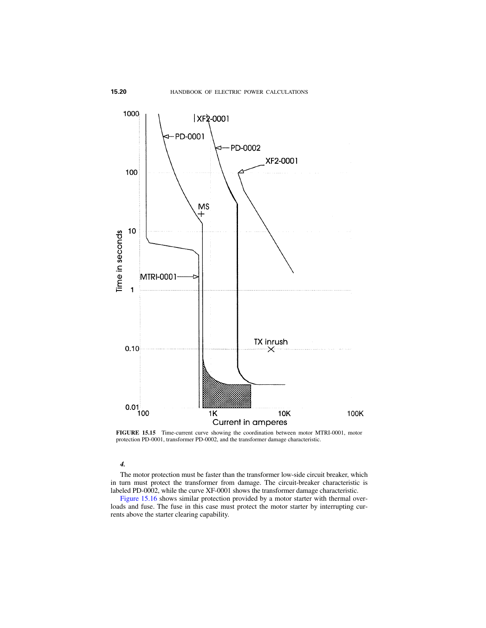

<span id="page-19-0"></span>**FIGURE 15.15** Time-current curve showing the coordination between motor MTRI-0001, motor protection PD-0001, transformer PD-0002, and the transformer damage characteristic.

#### *4.*

The motor protection must be faster than the transformer low-side circuit breaker, which in turn must protect the transformer from damage. The circuit-breaker characteristic is labeled PD-0002, while the curve XF-0001 shows the transformer damage characteristic.

[Figure 15.16](#page-20-1) shows similar protection provided by a motor starter with thermal overloads and fuse. The fuse in this case must protect the motor starter by interrupting currents above the starter clearing capability.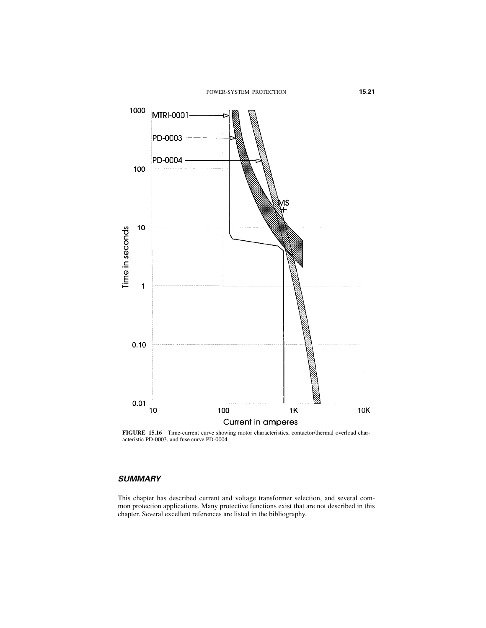<span id="page-20-0"></span>

<span id="page-20-1"></span>**FIGURE 15.16** Time-current curve showing motor characteristics, contactor/thermal overload characteristic PD-0003, and fuse curve PD-0004.

# *SUMMARY*

This chapter has described current and voltage transformer selection, and several common protection applications. Many protective functions exist that are not described in this chapter. Several excellent references are listed in the bibliography.